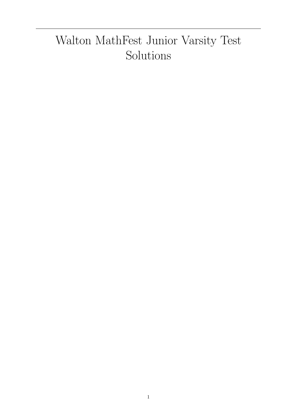## Walton MathFest Junior Varsity Test Solutions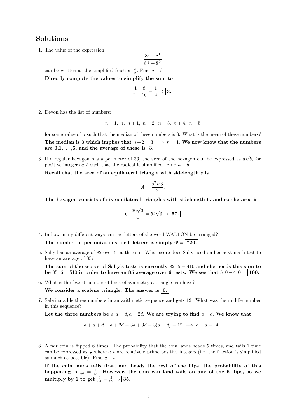## Solutions

1. The value of the expression

$$
\frac{8^0 + 8^1}{8^{\frac{1}{3}} + 8^{\frac{4}{3}}}
$$

can be written as the simplified fraction  $\frac{a}{b}$ . Find  $a + b$ .

Directly compute the values to simplify the sum to

$$
\frac{1+8}{2+16} = \frac{1}{2} \rightarrow \boxed{3.}
$$

2. Devon has the list of numbers:

$$
n-1, n, n+1, n+2, n+3, n+4, n+5
$$

for some value of  $n$  such that the median of these numbers is 3. What is the mean of these numbers? The median is 3 which implies that  $n+2=3 \implies n=1$ . We now know that the numbers are  $0,1,\ldots,6$ , and the average of these is  $\boxed{3}$ .

3. If a regular hexagon has a perimeter of 36, the area of the hexagon can be expressed as  $a$ √ b, for positive integers a, b such that the radical is simplified. Find  $a + b$ .

Recall that the area of an equilateral triangle with sidelength  $s$  is

$$
A = \frac{s^2 \sqrt{3}}{2}.
$$

The hexagon consists of six equilateral triangles with sidelength 6, and so the area is

$$
6 \cdot \frac{36\sqrt{3}}{4} = 54\sqrt{3} \rightarrow \boxed{57.}
$$

4. In how many different ways can the letters of the word WALTON be arranged?

The number of permutations for 6 letters is simply  $6! = 720$ .

5. Sally has an average of 82 over 5 math tests. What score does Sally need on her next math test to have an average of 85?

The sum of the scores of Sally's tests is currently  $82 \cdot 5 = 410$  and she needs this sum to be  $85 \cdot 6 = 510$  in order to have an 85 average over 6 tests. We see that  $510 - 410 = |100$ .

6. What is the fewest number of lines of symmetry a triangle can have?

We consider a scalene triangle. The answer is  $\vert 0$ .

7. Sabrina adds three numbers in an arithmetic sequence and gets 12. What was the middle number in this sequence?

Let the three numbers be  $a, a + d, a + 2d$ . We are trying to find  $a + d$ . We know that

 $a + a + d + a + 2d = 3a + 3d = 3(a + d) = 12 \implies a + d = 4.$ 

8. A fair coin is flipped 6 times. The probability that the coin lands heads 5 times, and tails 1 time can be expressed as  $\frac{a}{b}$  where a, b are relatively prime positive integers (i.e. the fraction is simplified as much as possible). Find  $a + b$ .

If the coin lands tails first, and heads the rest of the flips, the probability of this happening is  $\frac{1}{2^6} = \frac{1}{64}$ . However, the coin can land tails on any of the 6 flips, so we multiply by 6 to get  $\frac{6}{64} = \frac{3}{32} \rightarrow \boxed{35.}$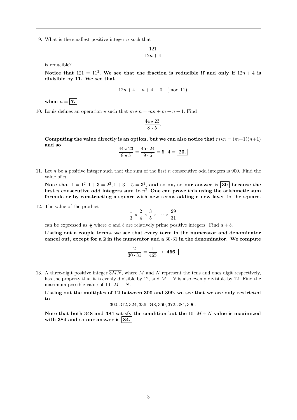9. What is the smallest positive integer  $n$  such that

$$
\frac{121}{12n+4}
$$

is reducible?

Notice that  $121 = 11^2$ . We see that the fraction is reducible if and only if  $12n + 4$  is divisible by 11. We see that

$$
12n + 4 \equiv n + 4 \equiv 0 \pmod{11}
$$

when  $n = 7$ .

10. Louis defines an operation  $\star$  such that  $m \star n = mn + m + n + 1$ . Find

$$
\frac{44 \times 23}{8 \times 5}.
$$

Computing the value directly is an option, but we can also notice that  $m \star n = (m+1)(n+1)$ and so

$$
\frac{44 \times 23}{8 \times 5} = \frac{45 \cdot 24}{9 \cdot 6} = 5 \cdot 4 = \boxed{20.}
$$

11. Let n be a positive integer such that the sum of the first n consecutive odd integers is 900. Find the value of n.

Note that  $1 = 1^2, 1 + 3 = 2^2, 1 + 3 + 5 = 3^2$ , and so on, so our answer is  $\boxed{30}$  because the first *n* consecutive odd integers sum to  $n^2$ . One can prove this using the arithmetic sum formula or by constructing a square with new terms adding a new layer to the square.

12. The value of the product

$$
\frac{1}{3} \times \frac{2}{4} \times \frac{3}{5} \times \dots \times \frac{29}{31}
$$

can be expressed as  $\frac{a}{b}$  where a and b are relatively prime positive integers. Find  $a + b$ .

Listing out a couple terms, we see that every term in the numerator and denominator cancel out, except for a 2 in the numerator and a  $30.31$  in the denominator. We compute

$$
\frac{2}{30 \cdot 31} = \frac{1}{465} \rightarrow \boxed{466.}
$$

13. A three-digit positive integer  $\overline{3MN}$ , where M and N represent the tens and ones digit respectively, has the property that it is evenly divisible by 12, and  $M + N$  is also evenly divisible by 12. Find the maximum possible value of  $10 \cdot M + N$ .

Listing out the multiples of 12 between 300 and 399, we see that we are only restricted to

$$
300, 312, 324, 336, 348, 360, 372, 384, 396.
$$

Note that both 348 and 384 satisfy the condition but the  $10 \cdot M + N$  value is maximized with 384 and so our answer is  $|84|$ .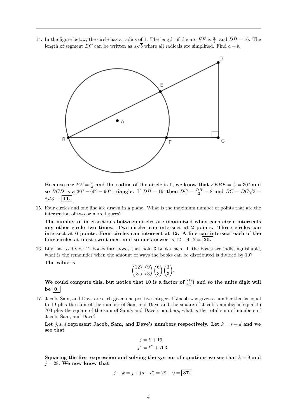14. In the figure below, the circle has a radius of 1. The length of the arc  $EF$  is  $\frac{\pi}{3}$ , and  $DB = 16$ . The length of segment BC can be written as  $a\sqrt{b}$  where all radicals are simplified. Find  $a + b$ .



Because arc  $EF = \frac{\pi}{3}$  and the radius of the circle is 1, we know that  $\angle EBF = \frac{\pi}{6} = 30^{\circ}$  and so BCD is a  $30^{\circ} - 60^{\circ} - 90^{\circ}$  triangle. If  $DB = 16$ , then  $DC = \frac{DB}{2} = 8$  and  $BC = DC\sqrt{3} = \frac{1}{2}$  $8\sqrt{3} \rightarrow 11.$ 

15. Four circles and one line are drawn in a plane. What is the maximum number of points that are the intersection of two or more figures?

The number of intersections between circles are maximized when each circle intersects any other circle two times. Two circles can intersect at 2 points. Three circles can intersect at 6 points. Four circles can intersect at 12. A line can intersect each of the four circles at most two times, and so our answer is  $12 + 4 \cdot 2 = |20|$ .

16. Lily has to divide 12 books into boxes that hold 3 books each. If the boxes are indistinguishable, what is the remainder when the amount of ways the books can be distributed is divided by 10? The value is

$$
\binom{12}{3}\binom{9}{3}\binom{6}{3}\binom{3}{3}.
$$

We could compute this, but notice that 10 is a factor of  $\binom{12}{3}$  and so the units digit will be  $\vert 0. \vert$ 

17. Jacob, Sam, and Dave are each given one positive integer. If Jacob was given a number that is equal to 19 plus the sum of the number of Sam and Dave and the square of Jacob's number is equal to 703 plus the square of the sum of Sam's and Dave's numbers, what is the total sum of numbers of Jacob, Sam, and Dave?

Let j, s, d represent Jacob, Sam, and Dave's numbers respectively. Let  $k = s + d$  and we see that

$$
j = k + 19
$$
  

$$
j^2 = k^2 + 703.
$$

Squaring the first expression and solving the system of equations we see that  $k = 9$  and  $j = 28$ . We now know that

$$
j + k = j + (s + d) = 28 + 9 = |37.|
$$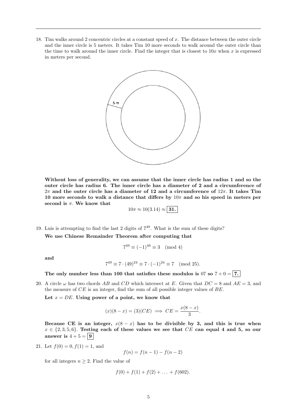18. Tim walks around 2 concentric circles at a constant speed of x. The distance between the outer circle and the inner circle is 5 meters. It takes Tim 10 more seconds to walk around the outer circle than the time to walk around the inner circle. Find the integer that is closest to  $10x$  when x is expressed in meters per second.



Without loss of generality, we can assume that the inner circle has radius 1 and so the outer circle has radius 6. The inner circle has a diameter of 2 and a circumference of  $2\pi$  and the outer circle has a diameter of 12 and a circumference of  $12\pi$ . It takes Tim 10 more seconds to walk a distance that differs by  $10\pi$  and so his speed in meters per second is  $\pi$ . We know that

$$
10\pi \approx 10(3.14) \approx \mathbf{31.}
$$

19. Luis is attempting to find the last 2 digits of  $7<sup>49</sup>$ . What is the sum of these digits?

We use Chinese Remainder Theorem after computing that

$$
7^{49} \equiv (-1)^{49} \equiv 3 \pmod{4}
$$

and

$$
7^{49} \equiv 7 \cdot (49)^{24} \equiv 7 \cdot (-1)^{24} \equiv 7 \pmod{25}
$$
.

The only number less than 100 that satisfies these modulos is 07 so  $7 + 0 = 7$ .

20. A circle  $\omega$  has two chords AB and CD which intersect at E. Given that  $DC = 8$  and  $AE = 3$ , and the measure of  $CE$  is an integer, find the sum of all possible integer values of  $BE$ .

Let  $x = DE$ . Using power of a point, we know that

$$
(x)(8-x) = (3)(CE) \implies CE = \frac{x(8-x)}{3}.
$$

Because CE is an integer,  $x(8-x)$  has to be divisible by 3, and this is true when  $x \in \{2,3,5,6\}$ . Testing each of these values we see that CE can equal 4 and 5, so our answer is  $4+5=\boxed{9}$ 

21. Let 
$$
f(0) = 0, f(1) = 1
$$
, and

$$
f(n) = f(n-1) - f(n-2)
$$

for all integers  $n \geq 2$ . Find the value of

$$
f(0) + f(1) + f(2) + \ldots + f(602).
$$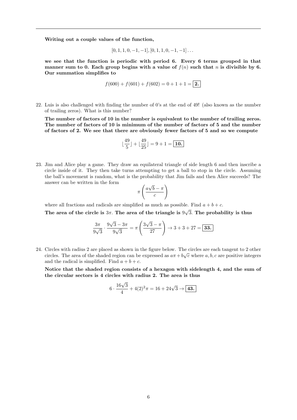Writing out a couple values of the function,

$$
[0, 1, 1, 0, -1, -1], [0, 1, 1, 0, -1, -1] \dots
$$

we see that the function is periodic with period 6. Every 6 terms grouped in that manner sum to 0. Each group begins with a value of  $f(n)$  such that n is divisible by 6. Our summation simplifies to

$$
f(600) + f(601) + f(602) = 0 + 1 + 1 = 2.
$$

22. Luis is also challenged with finding the number of 0's at the end of 49! (also known as the number of trailing zeros). What is this number?

The number of factors of 10 in the number is equivalent to the number of trailing zeros. The number of factors of 10 is minimum of the number of factors of 5 and the number of factors of 2. We see that there are obviously fewer factors of 5 and so we compute

$$
\lfloor \frac{49}{5} \rfloor + \lfloor \frac{49}{25} \rfloor = 9 + 1 = \boxed{10.}
$$

23. Jim and Alice play a game. They draw an equilateral triangle of side length 6 and then inscribe a circle inside of it. They then take turns attempting to get a ball to stop in the circle. Assuming the ball's movement is random, what is the probability that Jim fails and then Alice succeeds? The answer can be written in the form √

$$
\pi\left(\frac{a\sqrt{b}-\pi}{c}\right)
$$

where all fractions and radicals are simplified as much as possible. Find  $a + b + c$ . √

The area of the circle is  $3\pi$ . The area of the triangle is 9 3. The probability is thus

$$
\frac{3\pi}{9\sqrt{3}} \cdot \frac{9\sqrt{3} - 3\pi}{9\sqrt{3}} = \pi \left(\frac{3\sqrt{3} - \pi}{27}\right) \to 3 + 3 + 27 = \boxed{33.}
$$

24. Circles with radius 2 are placed as shown in the figure below. The circles are each tangent to 2 other circles. The area of the shaded region can be expressed as  $a\pi + b\sqrt{c}$  where  $a, b, c$  are positive integers and the radical is simplified. Find  $a + b + c$ .

Notice that the shaded region consists of a hexagon with sidelength 4, and the sum of the circular sectors is 4 circles with radius 2. The area is thus

$$
6 \cdot \frac{16\sqrt{3}}{4} + 4(2)^2 \pi = 16 + 24\sqrt{3} \rightarrow \boxed{43.}
$$